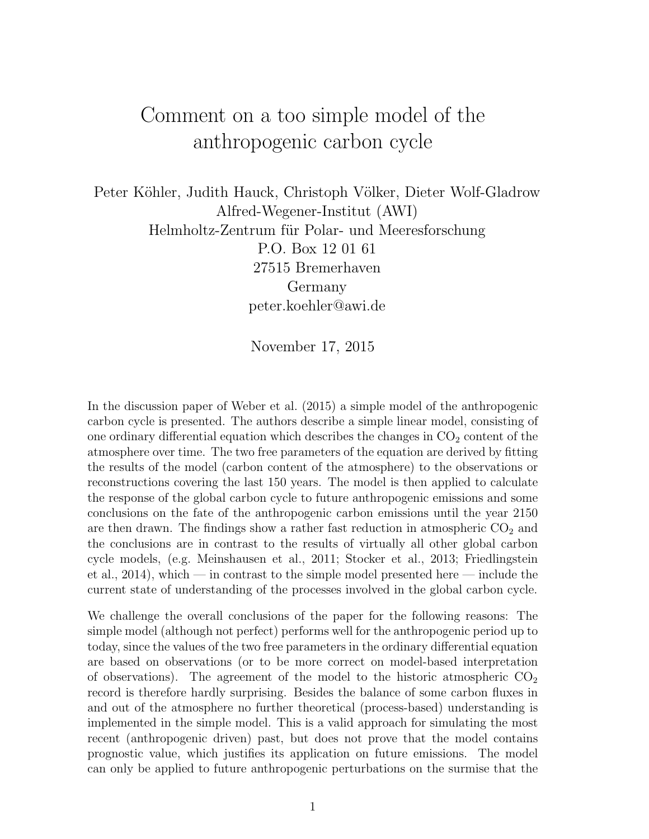## Comment on a too simple model of the anthropogenic carbon cycle

Peter Köhler, Judith Hauck, Christoph Völker, Dieter Wolf-Gladrow Alfred-Wegener-Institut (AWI) Helmholtz-Zentrum für Polar- und Meeresforschung P.O. Box 12 01 61 27515 Bremerhaven Germany peter.koehler@awi.de

November 17, 2015

In the discussion paper of Weber et al. (2015) a simple model of the anthropogenic carbon cycle is presented. The authors describe a simple linear model, consisting of one ordinary differential equation which describes the changes in  $CO<sub>2</sub>$  content of the atmosphere over time. The two free parameters of the equation are derived by fitting the results of the model (carbon content of the atmosphere) to the observations or reconstructions covering the last 150 years. The model is then applied to calculate the response of the global carbon cycle to future anthropogenic emissions and some conclusions on the fate of the anthropogenic carbon emissions until the year 2150 are then drawn. The findings show a rather fast reduction in atmospheric  $CO<sub>2</sub>$  and the conclusions are in contrast to the results of virtually all other global carbon cycle models, (e.g. Meinshausen et al., 2011; Stocker et al., 2013; Friedlingstein et al., 2014), which — in contrast to the simple model presented here — include the current state of understanding of the processes involved in the global carbon cycle.

We challenge the overall conclusions of the paper for the following reasons: The simple model (although not perfect) performs well for the anthropogenic period up to today, since the values of the two free parameters in the ordinary differential equation are based on observations (or to be more correct on model-based interpretation of observations). The agreement of the model to the historic atmospheric  $CO<sub>2</sub>$ record is therefore hardly surprising. Besides the balance of some carbon fluxes in and out of the atmosphere no further theoretical (process-based) understanding is implemented in the simple model. This is a valid approach for simulating the most recent (anthropogenic driven) past, but does not prove that the model contains prognostic value, which justifies its application on future emissions. The model can only be applied to future anthropogenic perturbations on the surmise that the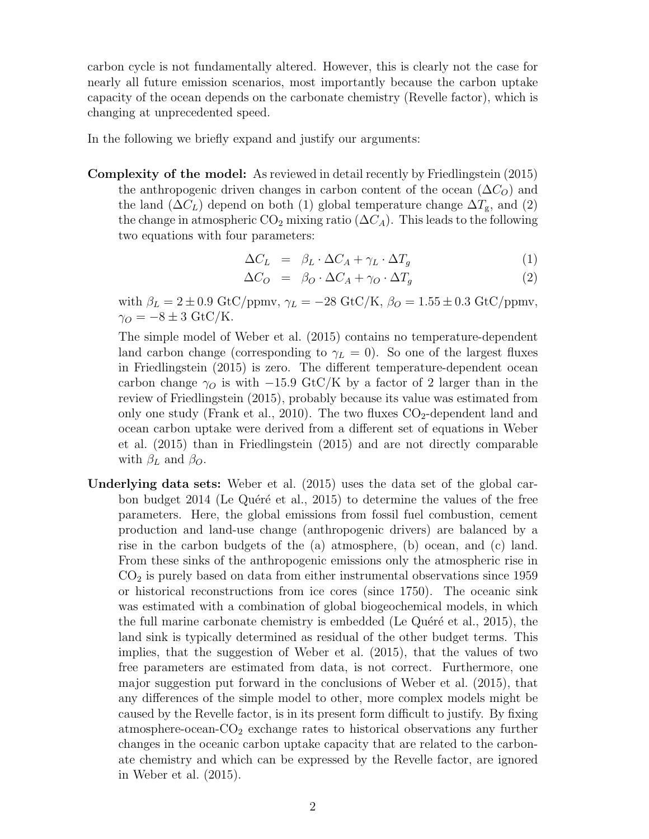carbon cycle is not fundamentally altered. However, this is clearly not the case for nearly all future emission scenarios, most importantly because the carbon uptake capacity of the ocean depends on the carbonate chemistry (Revelle factor), which is changing at unprecedented speed.

In the following we briefly expand and justify our arguments:

Complexity of the model: As reviewed in detail recently by Friedlingstein (2015) the anthropogenic driven changes in carbon content of the ocean  $(\Delta C_O)$  and the land  $(\Delta C_L)$  depend on both (1) global temperature change  $\Delta T_{\rm g}$ , and (2) the change in atmospheric  $CO_2$  mixing ratio  $(\Delta C_A)$ . This leads to the following two equations with four parameters:

$$
\Delta C_L = \beta_L \cdot \Delta C_A + \gamma_L \cdot \Delta T_g \tag{1}
$$

$$
\Delta C_O = \beta_O \cdot \Delta C_A + \gamma_O \cdot \Delta T_g \tag{2}
$$

with  $\beta_L = 2 \pm 0.9$  GtC/ppmv,  $\gamma_L = -28$  GtC/K,  $\beta_O = 1.55 \pm 0.3$  GtC/ppmv,  $\gamma_O = -8 \pm 3$  GtC/K.

The simple model of Weber et al. (2015) contains no temperature-dependent land carbon change (corresponding to  $\gamma_L = 0$ ). So one of the largest fluxes in Friedlingstein (2015) is zero. The different temperature-dependent ocean carbon change  $\gamma_O$  is with −15.9 GtC/K by a factor of 2 larger than in the review of Friedlingstein (2015), probably because its value was estimated from only one study (Frank et al., 2010). The two fluxes  $CO_2$ -dependent land and ocean carbon uptake were derived from a different set of equations in Weber et al. (2015) than in Friedlingstein (2015) and are not directly comparable with  $\beta_L$  and  $\beta_O$ .

Underlying data sets: Weber et al. (2015) uses the data set of the global carbon budget  $2014$  (Le Quéré et al.,  $2015$ ) to determine the values of the free parameters. Here, the global emissions from fossil fuel combustion, cement production and land-use change (anthropogenic drivers) are balanced by a rise in the carbon budgets of the (a) atmosphere, (b) ocean, and (c) land. From these sinks of the anthropogenic emissions only the atmospheric rise in  $CO<sub>2</sub>$  is purely based on data from either instrumental observations since 1959 or historical reconstructions from ice cores (since 1750). The oceanic sink was estimated with a combination of global biogeochemical models, in which the full marine carbonate chemistry is embedded (Le Quéré et al., 2015), the land sink is typically determined as residual of the other budget terms. This implies, that the suggestion of Weber et al. (2015), that the values of two free parameters are estimated from data, is not correct. Furthermore, one major suggestion put forward in the conclusions of Weber et al. (2015), that any differences of the simple model to other, more complex models might be caused by the Revelle factor, is in its present form difficult to justify. By fixing atmosphere-ocean- $CO<sub>2</sub>$  exchange rates to historical observations any further changes in the oceanic carbon uptake capacity that are related to the carbonate chemistry and which can be expressed by the Revelle factor, are ignored in Weber et al. (2015).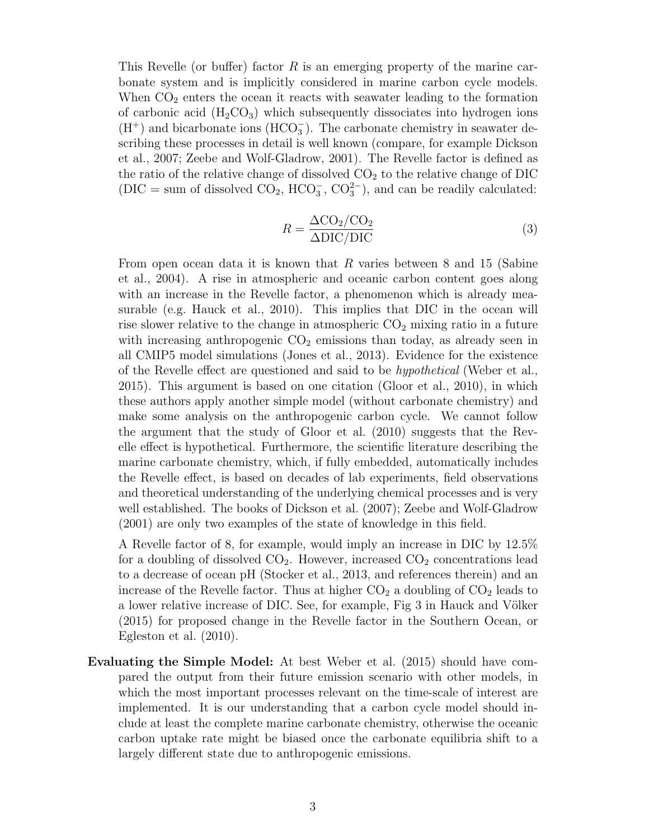This Revelle (or buffer) factor R is an emerging property of the marine carbonate system and is implicitly considered in marine carbon cycle models. When  $CO<sub>2</sub>$  enters the ocean it reacts with seawater leading to the formation of carbonic acid  $(H_2CO_3)$  which subsequently dissociates into hydrogen ions  $(H<sup>+</sup>)$  and bicarbonate ions  $(HCO<sub>3</sub><sup>-</sup>)$ . The carbonate chemistry in seawater describing these processes in detail is well known (compare, for example Dickson et al., 2007; Zeebe and Wolf-Gladrow, 2001). The Revelle factor is defined as the ratio of the relative change of dissolved  $CO<sub>2</sub>$  to the relative change of DIC  $(DIC = sum of dissolved CO<sub>2</sub>, HCO<sub>3</sub><sup>-</sup>, CO<sub>3</sub><sup>2</sup>), and can be readily calculated:$ 

$$
R = \frac{\Delta \text{CO}_2 / \text{CO}_2}{\Delta \text{DIC/DIC}} \tag{3}
$$

From open ocean data it is known that  $R$  varies between 8 and 15 (Sabine et al., 2004). A rise in atmospheric and oceanic carbon content goes along with an increase in the Revelle factor, a phenomenon which is already measurable (e.g. Hauck et al., 2010). This implies that DIC in the ocean will rise slower relative to the change in atmospheric  $CO<sub>2</sub>$  mixing ratio in a future with increasing anthropogenic  $CO<sub>2</sub>$  emissions than today, as already seen in all CMIP5 model simulations (Jones et al., 2013). Evidence for the existence of the Revelle effect are questioned and said to be hypothetical (Weber et al., 2015). This argument is based on one citation (Gloor et al., 2010), in which these authors apply another simple model (without carbonate chemistry) and make some analysis on the anthropogenic carbon cycle. We cannot follow the argument that the study of Gloor et al. (2010) suggests that the Revelle effect is hypothetical. Furthermore, the scientific literature describing the marine carbonate chemistry, which, if fully embedded, automatically includes the Revelle effect, is based on decades of lab experiments, field observations and theoretical understanding of the underlying chemical processes and is very well established. The books of Dickson et al. (2007); Zeebe and Wolf-Gladrow (2001) are only two examples of the state of knowledge in this field.

A Revelle factor of 8, for example, would imply an increase in DIC by 12.5% for a doubling of dissolved  $CO<sub>2</sub>$ . However, increased  $CO<sub>2</sub>$  concentrations lead to a decrease of ocean pH (Stocker et al., 2013, and references therein) and an increase of the Revelle factor. Thus at higher  $CO<sub>2</sub>$  a doubling of  $CO<sub>2</sub>$  leads to a lower relative increase of DIC. See, for example, Fig 3 in Hauck and Völker (2015) for proposed change in the Revelle factor in the Southern Ocean, or Egleston et al. (2010).

Evaluating the Simple Model: At best Weber et al. (2015) should have compared the output from their future emission scenario with other models, in which the most important processes relevant on the time-scale of interest are implemented. It is our understanding that a carbon cycle model should include at least the complete marine carbonate chemistry, otherwise the oceanic carbon uptake rate might be biased once the carbonate equilibria shift to a largely different state due to anthropogenic emissions.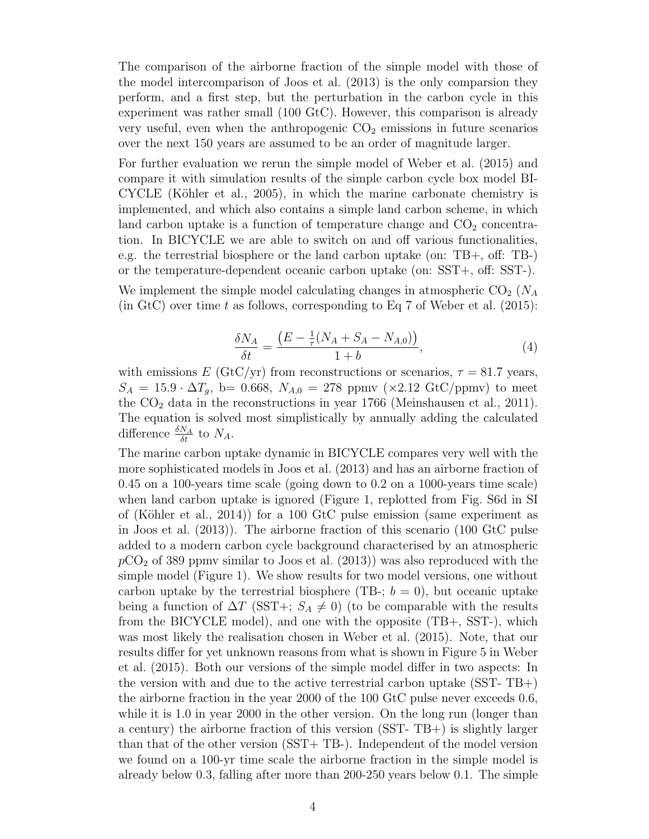The comparison of the airborne fraction of the simple model with those of the model intercomparison of Joos et al. (2013) is the only comparsion they perform, and a first step, but the perturbation in the carbon cycle in this experiment was rather small (100 GtC). However, this comparison is already very useful, even when the anthropogenic  $CO<sub>2</sub>$  emissions in future scenarios over the next 150 years are assumed to be an order of magnitude larger.

For further evaluation we rerun the simple model of Weber et al. (2015) and compare it with simulation results of the simple carbon cycle box model BI- $CYCLE$  (Köhler et al., 2005), in which the marine carbonate chemistry is implemented, and which also contains a simple land carbon scheme, in which land carbon uptake is a function of temperature change and  $CO<sub>2</sub>$  concentration. In BICYCLE we are able to switch on and off various functionalities, e.g. the terrestrial biosphere or the land carbon uptake (on: TB+, off: TB-) or the temperature-dependent oceanic carbon uptake (on: SST+, off: SST-).

We implement the simple model calculating changes in atmospheric  $CO_2$  ( $N_A$ ) (in GtC) over time t as follows, corresponding to Eq 7 of Weber et al.  $(2015)$ :

$$
\frac{\delta N_A}{\delta t} = \frac{\left(E - \frac{1}{\tau}(N_A + S_A - N_{A,0})\right)}{1 + b},\tag{4}
$$

with emissions E (GtC/yr) from reconstructions or scenarios,  $\tau = 81.7$  years,  $S_A = 15.9 \cdot \Delta T_g$ , b= 0.668,  $N_{A,0} = 278$  ppmv (×2.12 GtC/ppmv) to meet the  $CO<sub>2</sub>$  data in the reconstructions in year 1766 (Meinshausen et al., 2011). The equation is solved most simplistically by annually adding the calculated difference  $\frac{\delta N_A}{\delta t}$  to  $N_A$ .

The marine carbon uptake dynamic in BICYCLE compares very well with the more sophisticated models in Joos et al. (2013) and has an airborne fraction of 0.45 on a 100-years time scale (going down to 0.2 on a 1000-years time scale) when land carbon uptake is ignored (Figure 1, replotted from Fig. S6d in SI of (Köhler et al., 2014)) for a 100 GtC pulse emission (same experiment as in Joos et al. (2013)). The airborne fraction of this scenario (100 GtC pulse added to a modern carbon cycle background characterised by an atmospheric  $pCO<sub>2</sub>$  of 389 ppmv similar to Joos et al. (2013)) was also reproduced with the simple model (Figure 1). We show results for two model versions, one without carbon uptake by the terrestrial biosphere (TB-;  $b = 0$ ), but oceanic uptake being a function of  $\Delta T$  (SST+;  $S_A \neq 0$ ) (to be comparable with the results from the BICYCLE model), and one with the opposite (TB+, SST-), which was most likely the realisation chosen in Weber et al. (2015). Note, that our results differ for yet unknown reasons from what is shown in Figure 5 in Weber et al. (2015). Both our versions of the simple model differ in two aspects: In the version with and due to the active terrestrial carbon uptake (SST- TB+) the airborne fraction in the year 2000 of the 100 GtC pulse never exceeds 0.6, while it is 1.0 in year 2000 in the other version. On the long run (longer than a century) the airborne fraction of this version (SST- TB+) is slightly larger than that of the other version (SST+ TB-). Independent of the model version we found on a 100-yr time scale the airborne fraction in the simple model is already below 0.3, falling after more than 200-250 years below 0.1. The simple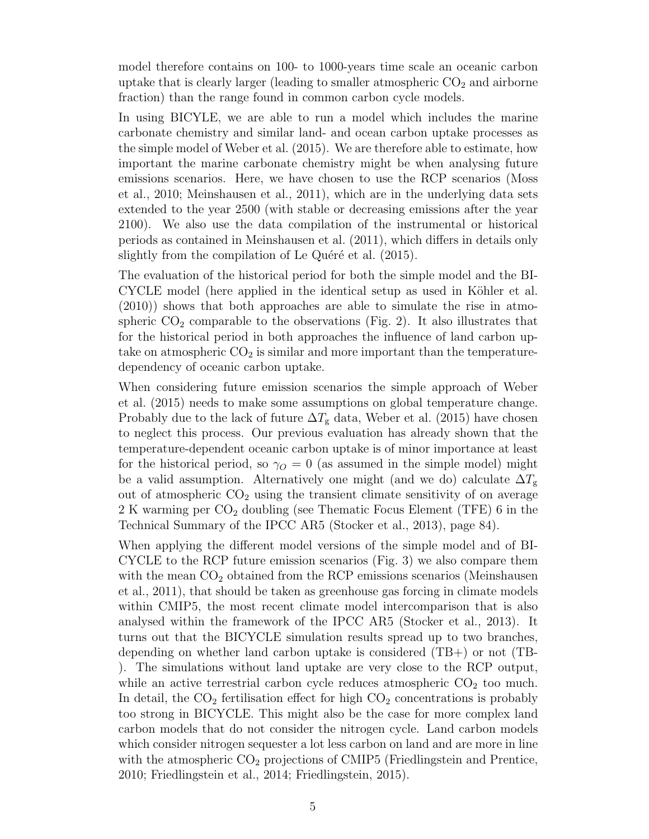model therefore contains on 100- to 1000-years time scale an oceanic carbon uptake that is clearly larger (leading to smaller atmospheric  $CO<sub>2</sub>$  and airborne fraction) than the range found in common carbon cycle models.

In using BICYLE, we are able to run a model which includes the marine carbonate chemistry and similar land- and ocean carbon uptake processes as the simple model of Weber et al. (2015). We are therefore able to estimate, how important the marine carbonate chemistry might be when analysing future emissions scenarios. Here, we have chosen to use the RCP scenarios (Moss et al., 2010; Meinshausen et al., 2011), which are in the underlying data sets extended to the year 2500 (with stable or decreasing emissions after the year 2100). We also use the data compilation of the instrumental or historical periods as contained in Meinshausen et al. (2011), which differs in details only slightly from the compilation of Le Quéré et al. (2015).

The evaluation of the historical period for both the simple model and the BI-CYCLE model (here applied in the identical setup as used in Köhler et al. (2010)) shows that both approaches are able to simulate the rise in atmospheric  $CO<sub>2</sub>$  comparable to the observations (Fig. 2). It also illustrates that for the historical period in both approaches the influence of land carbon uptake on atmospheric  $CO<sub>2</sub>$  is similar and more important than the temperaturedependency of oceanic carbon uptake.

When considering future emission scenarios the simple approach of Weber et al. (2015) needs to make some assumptions on global temperature change. Probably due to the lack of future  $\Delta T_{\rm g}$  data, Weber et al. (2015) have chosen to neglect this process. Our previous evaluation has already shown that the temperature-dependent oceanic carbon uptake is of minor importance at least for the historical period, so  $\gamma_O = 0$  (as assumed in the simple model) might be a valid assumption. Alternatively one might (and we do) calculate  $\Delta T_{\rm g}$ out of atmospheric  $CO<sub>2</sub>$  using the transient climate sensitivity of on average  $2 K$  warming per  $CO<sub>2</sub>$  doubling (see Thematic Focus Element (TFE) 6 in the Technical Summary of the IPCC AR5 (Stocker et al., 2013), page 84).

When applying the different model versions of the simple model and of BI-CYCLE to the RCP future emission scenarios (Fig. 3) we also compare them with the mean  $CO<sub>2</sub>$  obtained from the RCP emissions scenarios (Meinshausen et al., 2011), that should be taken as greenhouse gas forcing in climate models within CMIP5, the most recent climate model intercomparison that is also analysed within the framework of the IPCC AR5 (Stocker et al., 2013). It turns out that the BICYCLE simulation results spread up to two branches, depending on whether land carbon uptake is considered (TB+) or not (TB- ). The simulations without land uptake are very close to the RCP output, while an active terrestrial carbon cycle reduces atmospheric  $CO<sub>2</sub>$  too much. In detail, the  $CO<sub>2</sub>$  fertilisation effect for high  $CO<sub>2</sub>$  concentrations is probably too strong in BICYCLE. This might also be the case for more complex land carbon models that do not consider the nitrogen cycle. Land carbon models which consider nitrogen sequester a lot less carbon on land and are more in line with the atmospheric  $CO<sub>2</sub>$  projections of CMIP5 (Friedlingstein and Prentice, 2010; Friedlingstein et al., 2014; Friedlingstein, 2015).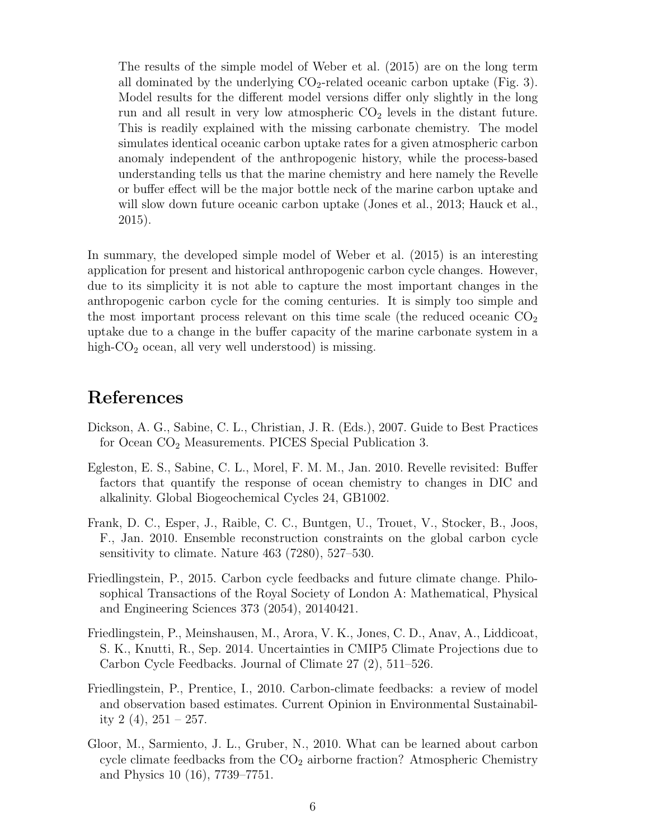The results of the simple model of Weber et al. (2015) are on the long term all dominated by the underlying  $CO<sub>2</sub>$ -related oceanic carbon uptake (Fig. 3). Model results for the different model versions differ only slightly in the long run and all result in very low atmospheric  $CO<sub>2</sub>$  levels in the distant future. This is readily explained with the missing carbonate chemistry. The model simulates identical oceanic carbon uptake rates for a given atmospheric carbon anomaly independent of the anthropogenic history, while the process-based understanding tells us that the marine chemistry and here namely the Revelle or buffer effect will be the major bottle neck of the marine carbon uptake and will slow down future oceanic carbon uptake (Jones et al., 2013; Hauck et al., 2015).

In summary, the developed simple model of Weber et al. (2015) is an interesting application for present and historical anthropogenic carbon cycle changes. However, due to its simplicity it is not able to capture the most important changes in the anthropogenic carbon cycle for the coming centuries. It is simply too simple and the most important process relevant on this time scale (the reduced oceanic  $CO<sub>2</sub>$ uptake due to a change in the buffer capacity of the marine carbonate system in a high- $CO<sub>2</sub>$  ocean, all very well understood) is missing.

## References

- Dickson, A. G., Sabine, C. L., Christian, J. R. (Eds.), 2007. Guide to Best Practices for Ocean CO<sup>2</sup> Measurements. PICES Special Publication 3.
- Egleston, E. S., Sabine, C. L., Morel, F. M. M., Jan. 2010. Revelle revisited: Buffer factors that quantify the response of ocean chemistry to changes in DIC and alkalinity. Global Biogeochemical Cycles 24, GB1002.
- Frank, D. C., Esper, J., Raible, C. C., Buntgen, U., Trouet, V., Stocker, B., Joos, F., Jan. 2010. Ensemble reconstruction constraints on the global carbon cycle sensitivity to climate. Nature 463 (7280), 527–530.
- Friedlingstein, P., 2015. Carbon cycle feedbacks and future climate change. Philosophical Transactions of the Royal Society of London A: Mathematical, Physical and Engineering Sciences 373 (2054), 20140421.
- Friedlingstein, P., Meinshausen, M., Arora, V. K., Jones, C. D., Anav, A., Liddicoat, S. K., Knutti, R., Sep. 2014. Uncertainties in CMIP5 Climate Projections due to Carbon Cycle Feedbacks. Journal of Climate 27 (2), 511–526.
- Friedlingstein, P., Prentice, I., 2010. Carbon-climate feedbacks: a review of model and observation based estimates. Current Opinion in Environmental Sustainability 2  $(4)$ ,  $251 - 257$ .
- Gloor, M., Sarmiento, J. L., Gruber, N., 2010. What can be learned about carbon cycle climate feedbacks from the  $CO<sub>2</sub>$  airborne fraction? Atmospheric Chemistry and Physics 10 (16), 7739–7751.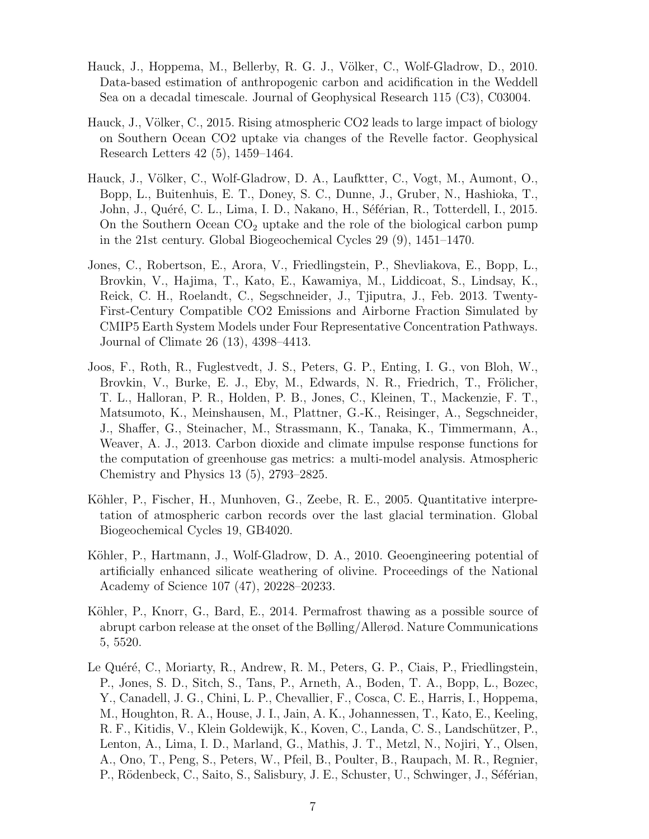- Hauck, J., Hoppema, M., Bellerby, R. G. J., Völker, C., Wolf-Gladrow, D., 2010. Data-based estimation of anthropogenic carbon and acidification in the Weddell Sea on a decadal timescale. Journal of Geophysical Research 115 (C3), C03004.
- Hauck, J., Völker, C., 2015. Rising atmospheric CO2 leads to large impact of biology on Southern Ocean CO2 uptake via changes of the Revelle factor. Geophysical Research Letters 42 (5), 1459–1464.
- Hauck, J., Völker, C., Wolf-Gladrow, D. A., Laufktter, C., Vogt, M., Aumont, O., Bopp, L., Buitenhuis, E. T., Doney, S. C., Dunne, J., Gruber, N., Hashioka, T., John, J., Quéré, C. L., Lima, I. D., Nakano, H., Séférian, R., Totterdell, I., 2015. On the Southern Ocean  $CO<sub>2</sub>$  uptake and the role of the biological carbon pump in the 21st century. Global Biogeochemical Cycles 29 (9), 1451–1470.
- Jones, C., Robertson, E., Arora, V., Friedlingstein, P., Shevliakova, E., Bopp, L., Brovkin, V., Hajima, T., Kato, E., Kawamiya, M., Liddicoat, S., Lindsay, K., Reick, C. H., Roelandt, C., Segschneider, J., Tjiputra, J., Feb. 2013. Twenty-First-Century Compatible CO2 Emissions and Airborne Fraction Simulated by CMIP5 Earth System Models under Four Representative Concentration Pathways. Journal of Climate 26 (13), 4398–4413.
- Joos, F., Roth, R., Fuglestvedt, J. S., Peters, G. P., Enting, I. G., von Bloh, W., Brovkin, V., Burke, E. J., Eby, M., Edwards, N. R., Friedrich, T., Frölicher, T. L., Halloran, P. R., Holden, P. B., Jones, C., Kleinen, T., Mackenzie, F. T., Matsumoto, K., Meinshausen, M., Plattner, G.-K., Reisinger, A., Segschneider, J., Shaffer, G., Steinacher, M., Strassmann, K., Tanaka, K., Timmermann, A., Weaver, A. J., 2013. Carbon dioxide and climate impulse response functions for the computation of greenhouse gas metrics: a multi-model analysis. Atmospheric Chemistry and Physics 13 (5), 2793–2825.
- Köhler, P., Fischer, H., Munhoven, G., Zeebe, R. E., 2005. Quantitative interpretation of atmospheric carbon records over the last glacial termination. Global Biogeochemical Cycles 19, GB4020.
- Köhler, P., Hartmann, J., Wolf-Gladrow, D. A., 2010. Geoengineering potential of artificially enhanced silicate weathering of olivine. Proceedings of the National Academy of Science 107 (47), 20228–20233.
- Köhler, P., Knorr, G., Bard, E., 2014. Permafrost thawing as a possible source of abrupt carbon release at the onset of the Bølling/Allerød. Nature Communications 5, 5520.
- Le Quéré, C., Moriarty, R., Andrew, R. M., Peters, G. P., Ciais, P., Friedlingstein, P., Jones, S. D., Sitch, S., Tans, P., Arneth, A., Boden, T. A., Bopp, L., Bozec, Y., Canadell, J. G., Chini, L. P., Chevallier, F., Cosca, C. E., Harris, I., Hoppema, M., Houghton, R. A., House, J. I., Jain, A. K., Johannessen, T., Kato, E., Keeling, R. F., Kitidis, V., Klein Goldewijk, K., Koven, C., Landa, C. S., Landsch¨utzer, P., Lenton, A., Lima, I. D., Marland, G., Mathis, J. T., Metzl, N., Nojiri, Y., Olsen, A., Ono, T., Peng, S., Peters, W., Pfeil, B., Poulter, B., Raupach, M. R., Regnier, P., Rödenbeck, C., Saito, S., Salisbury, J. E., Schuster, U., Schwinger, J., Séférian,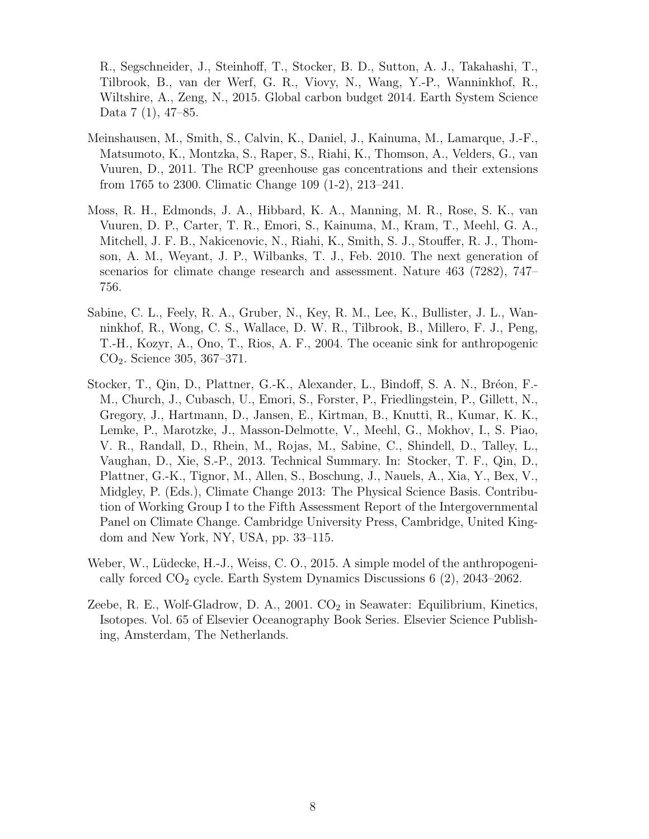R., Segschneider, J., Steinhoff, T., Stocker, B. D., Sutton, A. J., Takahashi, T., Tilbrook, B., van der Werf, G. R., Viovy, N., Wang, Y.-P., Wanninkhof, R., Wiltshire, A., Zeng, N., 2015. Global carbon budget 2014. Earth System Science Data 7 (1), 47–85.

- Meinshausen, M., Smith, S., Calvin, K., Daniel, J., Kainuma, M., Lamarque, J.-F., Matsumoto, K., Montzka, S., Raper, S., Riahi, K., Thomson, A., Velders, G., van Vuuren, D., 2011. The RCP greenhouse gas concentrations and their extensions from 1765 to 2300. Climatic Change 109 (1-2), 213–241.
- Moss, R. H., Edmonds, J. A., Hibbard, K. A., Manning, M. R., Rose, S. K., van Vuuren, D. P., Carter, T. R., Emori, S., Kainuma, M., Kram, T., Meehl, G. A., Mitchell, J. F. B., Nakicenovic, N., Riahi, K., Smith, S. J., Stouffer, R. J., Thomson, A. M., Weyant, J. P., Wilbanks, T. J., Feb. 2010. The next generation of scenarios for climate change research and assessment. Nature 463 (7282), 747– 756.
- Sabine, C. L., Feely, R. A., Gruber, N., Key, R. M., Lee, K., Bullister, J. L., Wanninkhof, R., Wong, C. S., Wallace, D. W. R., Tilbrook, B., Millero, F. J., Peng, T.-H., Kozyr, A., Ono, T., Rios, A. F., 2004. The oceanic sink for anthropogenic CO2. Science 305, 367–371.
- Stocker, T., Qin, D., Plattner, G.-K., Alexander, L., Bindoff, S. A. N., Bréon, F.-M., Church, J., Cubasch, U., Emori, S., Forster, P., Friedlingstein, P., Gillett, N., Gregory, J., Hartmann, D., Jansen, E., Kirtman, B., Knutti, R., Kumar, K. K., Lemke, P., Marotzke, J., Masson-Delmotte, V., Meehl, G., Mokhov, I., S. Piao, V. R., Randall, D., Rhein, M., Rojas, M., Sabine, C., Shindell, D., Talley, L., Vaughan, D., Xie, S.-P., 2013. Technical Summary. In: Stocker, T. F., Qin, D., Plattner, G.-K., Tignor, M., Allen, S., Boschung, J., Nauels, A., Xia, Y., Bex, V., Midgley, P. (Eds.), Climate Change 2013: The Physical Science Basis. Contribution of Working Group I to the Fifth Assessment Report of the Intergovernmental Panel on Climate Change. Cambridge University Press, Cambridge, United Kingdom and New York, NY, USA, pp. 33–115.
- Weber, W., Lüdecke, H.-J., Weiss, C. O., 2015. A simple model of the anthropogenically forced  $CO<sub>2</sub>$  cycle. Earth System Dynamics Discussions 6 (2), 2043–2062.
- Zeebe, R. E., Wolf-Gladrow, D. A., 2001.  $CO<sub>2</sub>$  in Seawater: Equilibrium, Kinetics, Isotopes. Vol. 65 of Elsevier Oceanography Book Series. Elsevier Science Publishing, Amsterdam, The Netherlands.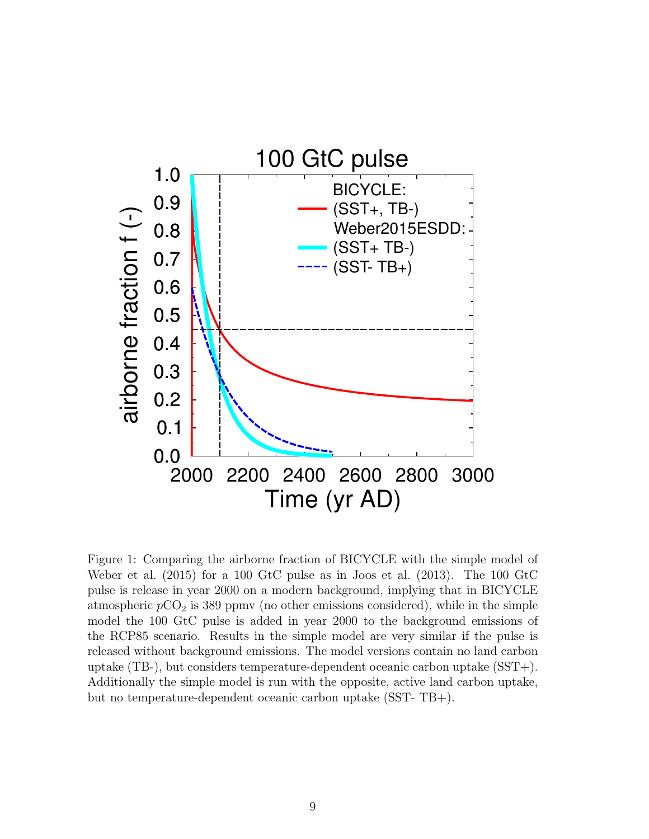

Figure 1: Comparing the airborne fraction of BICYCLE with the simple model of Weber et al. (2015) for a 100 GtC pulse as in Joos et al. (2013). The 100 GtC pulse is release in year 2000 on a modern background, implying that in BICYCLE atmospheric  $pCO<sub>2</sub>$  is 389 ppmv (no other emissions considered), while in the simple model the 100 GtC pulse is added in year 2000 to the background emissions of the RCP85 scenario. Results in the simple model are very similar if the pulse is released without background emissions. The model versions contain no land carbon uptake (TB-), but considers temperature-dependent oceanic carbon uptake (SST+). Additionally the simple model is run with the opposite, active land carbon uptake, but no temperature-dependent oceanic carbon uptake (SST- TB+).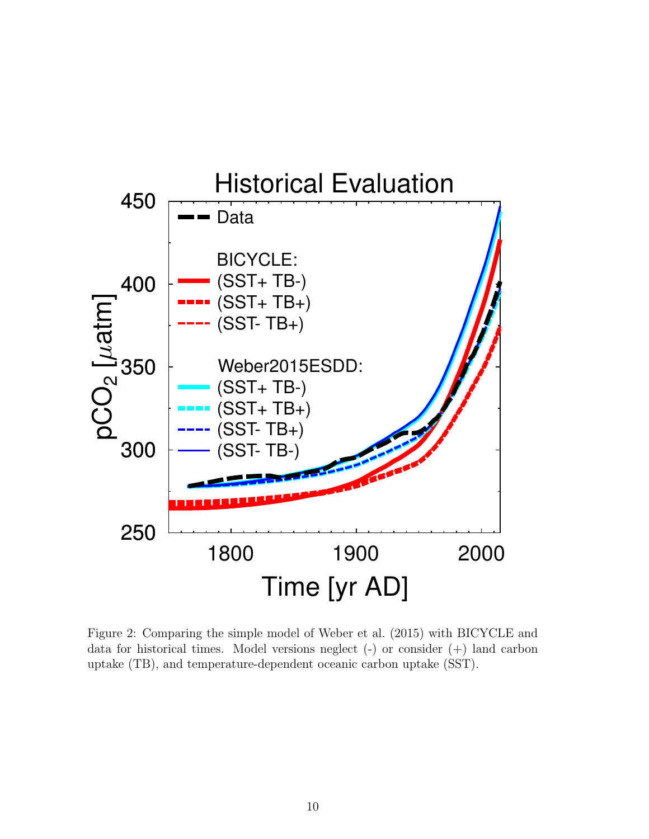

Figure 2: Comparing the simple model of Weber et al. (2015) with BICYCLE and data for historical times. Model versions neglect (-) or consider (+) land carbon uptake (TB), and temperature-dependent oceanic carbon uptake (SST).